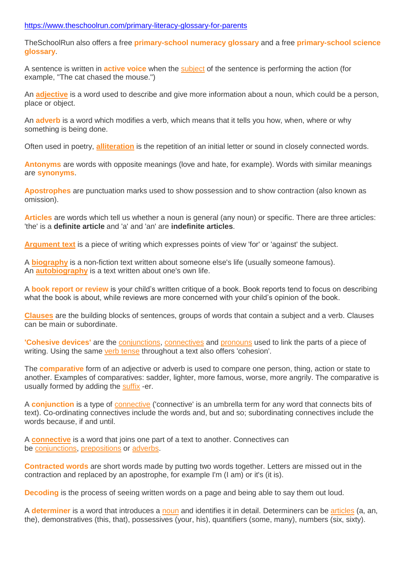## <https://www.theschoolrun.com/primary-literacy-glossary-for-parents>

TheSchoolRun also offers a free **[primary-school](http://www.theschoolrun.com/primary-numeracy-glossary-for-parents) numeracy glossary** and a free **[primary-school](http://www.theschoolrun.com/primary-science-glossary-for-parents) science [glossary](http://www.theschoolrun.com/primary-science-glossary-for-parents)**.

A sentence is written in **[active](http://www.theschoolrun.com/what-are-active-and-passive-sentences) voice** when the [subject](http://www.theschoolrun.com/what-are-subject-and-object) of the sentence is performing the action (for example, "The cat chased the mouse.")

An **[adjective](http://www.theschoolrun.com/what-is-an-adjective)** is a word used to describe and give more information about a noun, which could be a person, place or object.

An **[adverb](http://www.theschoolrun.com/what-is-an-adverb)** is a word which modifies a verb, which means that it tells you how, when, where or why something is being done.

Often used in poetry, **[alliteration](http://www.theschoolrun.com/alliteration-assonance-consonance)** is the repetition of an initial letter or sound in closely connected words.

**[Antonyms](http://www.theschoolrun.com/what-are-synonyms-and-antonyms)** are words with opposite meanings (love and hate, for example). Words with similar meanings are **[synonyms](http://www.theschoolrun.com/what-are-synonyms-and-antonyms)**.

**[Apostrophes](http://www.theschoolrun.com/what-is-an-apostrophe)** are punctuation marks used to show possession and to show contraction (also known as omission).

**[Articles](http://www.theschoolrun.com/what-are-definite-and-indefinite-articles)** are words which tell us whether a noun is general (any noun) or specific. There are three articles: 'the' is a **definite article** and 'a' and 'an' are **indefinite articles**.

**[Argument](http://www.theschoolrun.com/argument-text) text** is a piece of writing which expresses points of view 'for' or 'against' the subject.

A **[biography](http://www.theschoolrun.com/what-are-biography-and-autobiography)** is a non-fiction text written about someone else's life (usually someone famous). An **[autobiography](http://www.theschoolrun.com/what-are-biography-and-autobiography)** is a text written about one's own life.

A **book report or [review](http://www.theschoolrun.com/book-reports-what-parents-need-know)** is your child's written critique of a book. Book reports tend to focus on describing what the book is about, while reviews are more concerned with your child's opinion of the book.

**[Clauses](http://www.theschoolrun.com/what-is-a-clause)** are the building blocks of sentences, groups of words that contain a subject and a verb. Clauses can be main or subordinate.

**['Cohesive](https://www.theschoolrun.com/what-are-cohesion-and-cohesive-devices-in-writing) devices'** are the [conjunctions,](https://www.theschoolrun.com/what-is-a-conjunction) [connectives](https://www.theschoolrun.com/what-are-time-connectives) and [pronouns](https://www.theschoolrun.com/what-is-a-pronoun) used to link the parts of a piece of writing. Using the same verb [tense](https://www.theschoolrun.com/what-is-verb-tense) throughout a text also offers 'cohesion'.

The **[comparative](http://www.theschoolrun.com/what-are-comparatives-and-superlatives)** form of an adjective or adverb is used to compare one person, thing, action or state to another. Examples of comparatives: sadder, lighter, more famous, worse, more angrily. The comparative is usually formed by adding the [suffix](http://www.theschoolrun.com/what-is-a-suffix) -er.

A **[conjunction](http://www.theschoolrun.com/what-is-a-conjunction)** is a type of [connective](http://www.theschoolrun.com/what-are-connectives) ('connective' is an umbrella term for any word that connects bits of text). Co-ordinating connectives include the words and, but and so; subordinating connectives include the words because, if and until.

A **[connective](http://www.theschoolrun.com/what-are-connectives)** is a word that joins one part of a text to another. Connectives can be [conjunctions,](http://www.theschoolrun.com/what-is-a-conjunction) [prepositions](http://www.theschoolrun.com/what-are-prepositions) or [adverbs.](http://www.theschoolrun.com/what-is-an-adverb)

**[Contracted](http://www.theschoolrun.com/what-are-contracted-words-or-contractions) words** are short words made by putting two words together. Letters are missed out in the contraction and replaced by an apostrophe, for example I'm (I am) or it's (it is).

**[Decoding](http://www.theschoolrun.com/what-is-decoding)** is the process of seeing written words on a page and being able to say them out loud.

A **[determiner](http://www.theschoolrun.com/what-is-a-determiner)** is a word that introduces a [noun](http://www.theschoolrun.com/what-is-a-noun) and identifies it in detail. Determiners can be [articles](http://www.theschoolrun.com/what-are-definite-and-indefinite-articles) (a, an, the), demonstratives (this, that), possessives (your, his), quantifiers (some, many), numbers (six, sixty).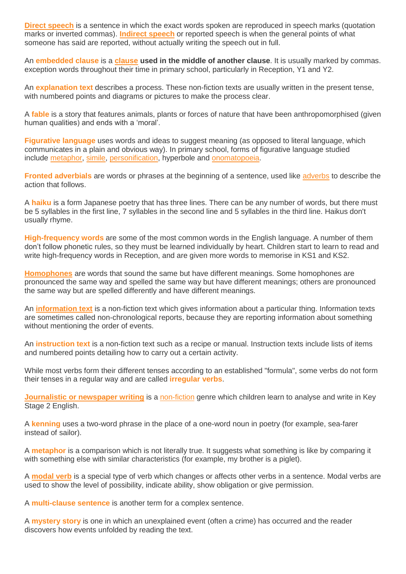**Direct [speech](http://www.theschoolrun.com/what-are-direct-and-indirect-speech)** is a sentence in which the exact words spoken are reproduced in speech marks (quotation marks or inverted commas). **[Indirect](http://www.theschoolrun.com/what-are-direct-and-indirect-speech) speech** or reported speech is when the general points of what someone has said are reported, without actually writing the speech out in full.

An **[embedded](http://www.theschoolrun.com/what-is-an-embedded-clause) clause** is a **[clause](http://www.theschoolrun.com/what-is-a-clause) used in the middle of another clause**. It is usually marked by commas. exception words throughout their time in primary school, particularly in Reception, Y1 and Y2.

An **[explanation](http://www.theschoolrun.com/what-is-an-explanation-text) text** describes a process. These non-fiction texts are usually written in the present tense, with numbered points and diagrams or pictures to make the process clear.

A **[fable](http://www.theschoolrun.com/what-is-a-fable)** is a story that features animals, plants or forces of nature that have been anthropomorphised (given human qualities) and ends with a 'moral'.

**[Figurative](http://www.theschoolrun.com/what-is-figurative-language) language** uses words and ideas to suggest meaning (as opposed to literal language, which communicates in a plain and obvious way). In primary school, forms of figurative language studied include [metaphor,](http://www.theschoolrun.com/what-is-a-metaphor) [simile,](http://www.theschoolrun.com/what-is-a-simile) [personification,](http://www.theschoolrun.com/what-is-personification) hyperbole and [onomatopoeia.](http://www.theschoolrun.com/what-is-onomatopoeia)

**Fronted [adverbials](http://www.theschoolrun.com/what-are-fronted-adverbials)** are words or phrases at the beginning of a sentence, used like [adverbs](http://www.theschoolrun.com/what-is-an-adverb) to describe the action that follows.

A **[haiku](http://www.theschoolrun.com/what-haiku-0)** is a form Japanese poetry that has three lines. There can be any number of words, but there must be 5 syllables in the first line, 7 syllables in the second line and 5 syllables in the third line. Haikus don't usually rhyme.

**[High-frequency](http://www.theschoolrun.com/what-are-high-frequency-words) words** are some of the most common words in the English language. A number of them don't follow phonetic rules, so they must be learned individually by heart. Children start to learn to read and write high-frequency words in Reception, and are given more words to memorise in KS1 and KS2.

**[Homophones](http://www.theschoolrun.com/homophones-explained)** are words that sound the same but have different meanings. Some homophones are pronounced the same way and spelled the same way but have different meanings; others are pronounced the same way but are spelled differently and have different meanings.

An **[information](http://www.theschoolrun.com/information-text) text** is a non-fiction text which gives information about a particular thing. Information texts are sometimes called non-chronological reports, because they are reporting information about something without mentioning the order of events.

An **[instruction](http://www.theschoolrun.com/instruction-texts) text** is a non-fiction text such as a recipe or manual. Instruction texts include lists of items and numbered points detailing how to carry out a certain activity.

While most verbs form their different tenses according to an established "formula", some verbs do not form their tenses in a regular way and are called **[irregular](http://www.theschoolrun.com/what-are-irregular-verbs) verbs**.

**[Journalistic](http://www.theschoolrun.com/what-is-journalistic-writing) or newspaper writing** is a [non-fiction](http://www.theschoolrun.com/non-fiction) genre which children learn to analyse and write in Key Stage 2 English.

A **[kenning](http://www.theschoolrun.com/what-is-a-kenning)** uses a two-word phrase in the place of a one-word noun in poetry (for example, sea-farer instead of sailor).

A **[metaphor](http://www.theschoolrun.com/what-is-a-metaphor)** is a comparison which is not literally true. It suggests what something is like by comparing it with something else with similar characteristics (for example, my brother is a piglet).

A **[modal](http://www.theschoolrun.com/what-are-modal-verbs) verb** is a special type of verb which changes or affects other verbs in a sentence. Modal verbs are used to show the level of possibility, indicate ability, show obligation or give permission.

A **[multi-clause](http://www.theschoolrun.com/what-are-simple-compound-and-complex-sentences-0) sentence** is another term for a complex sentence.

A **[mystery](http://www.theschoolrun.com/what-is-mystery-text) story** is one in which an unexplained event (often a crime) has occurred and the reader discovers how events unfolded by reading the text.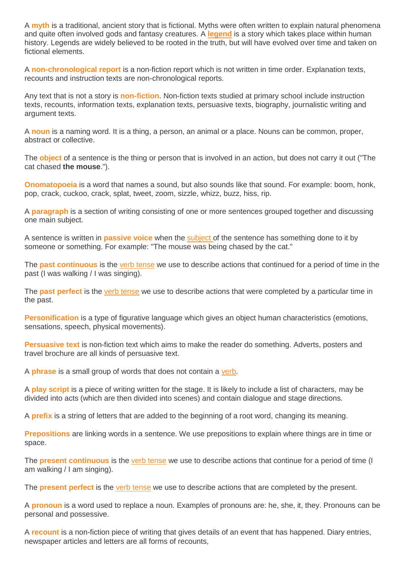A **[myth](http://www.theschoolrun.com/myths-and-legends)** is a traditional, ancient story that is fictional. Myths were often written to explain natural phenomena and quite often involved gods and fantasy creatures. A **[legend](http://www.theschoolrun.com/myths-and-legends)** is a story which takes place within human history. Legends are widely believed to be rooted in the truth, but will have evolved over time and taken on fictional elements.

A **[non-chronological](http://www.theschoolrun.com/what-is-a-non-chronological-report) report** is a non-fiction report which is not written in time order. Explanation texts, recounts and instruction texts are non-chronological reports.

Any text that is not a story is **[non-fiction](http://www.theschoolrun.com/non-fiction)**. Non-fiction texts studied at primary school include instruction texts, recounts, information texts, explanation texts, persuasive texts, biography, journalistic writing and argument texts.

A **[noun](http://www.theschoolrun.com/what-is-a-noun)** is a naming word. It is a thing, a person, an animal or a place. Nouns can be common, proper, abstract or collective.

The **[object](http://www.theschoolrun.com/what-are-subject-and-object)** of a sentence is the thing or person that is involved in an action, but does not carry it out ("The cat chased **the mouse**.").

**[Onomatopoeia](http://www.theschoolrun.com/what-is-onomatopoeia)** is a word that names a sound, but also sounds like that sound. For example: boom, honk, pop, crack, cuckoo, crack, splat, tweet, zoom, sizzle, whizz, buzz, hiss, rip.

A **[paragraph](http://www.theschoolrun.com/what-is-a-paragraph)** is a section of writing consisting of one or more sentences grouped together and discussing one main subject.

A sentence is written in **[passive](http://www.theschoolrun.com/what-are-active-and-passive-sentences) voice** when the [subject](http://www.theschoolrun.com/what-are-subject-and-object) of the sentence has something done to it by someone or something. For example: "The mouse was being chased by the cat."

The **past [continuous](http://www.theschoolrun.com/what-are-the-present-continuous-and-the-past-continuous)** is the verb [tense](http://www.theschoolrun.com/what-is-verb-tense) we use to describe actions that continued for a period of time in the past (I was walking / I was singing).

The **past [perfect](http://www.theschoolrun.com/what-are-the-present-perfect-and-the-past-perfect)** is the verb [tense](http://www.theschoolrun.com/what-is-verb-tense) we use to describe actions that were completed by a particular time in the past.

**[Personification](http://www.theschoolrun.com/what-is-personification)** is a type of figurative language which gives an object human characteristics (emotions, sensations, speech, physical movements).

**[Persuasive](http://www.theschoolrun.com/what-is-persuasive-text) text** is non-fiction text which aims to make the reader do something. Adverts, posters and travel brochure are all kinds of persuasive text.

A **[phrase](http://www.theschoolrun.com/what-is-a-phrase)** is a small group of words that does not contain a [verb.](http://www.theschoolrun.com/powerful-verbs-explained)

A **play [script](http://www.theschoolrun.com/play-script)** is a piece of writing written for the stage. It is likely to include a list of characters, may be divided into acts (which are then divided into scenes) and contain dialogue and stage directions.

A **[prefix](http://www.theschoolrun.com/what-is-a-prefix)** is a string of letters that are added to the beginning of a root word, changing its meaning.

**[Prepositions](http://www.theschoolrun.com/what-are-prepositions)** are linking words in a sentence. We use prepositions to explain where things are in time or space.

The **present [continuous](http://www.theschoolrun.com/what-are-the-present-continuous-and-the-past-continuous)** is the verb [tense](http://www.theschoolrun.com/what-is-verb-tense) we use to describe actions that continue for a period of time (I am walking / I am singing).

The **[present](http://www.theschoolrun.com/what-are-the-present-perfect-and-the-past-perfect) perfect** is the verb [tense](http://www.theschoolrun.com/what-is-verb-tense) we use to describe actions that are completed by the present.

A **[pronoun](http://www.theschoolrun.com/what-is-a-pronoun)** is a word used to replace a noun. Examples of pronouns are: he, she, it, they. Pronouns can be personal and possessive.

A **[recount](http://www.theschoolrun.com/what-is-a-recount)** is a non-fiction piece of writing that gives details of an event that has happened. Diary entries, newspaper articles and letters are all forms of recounts,